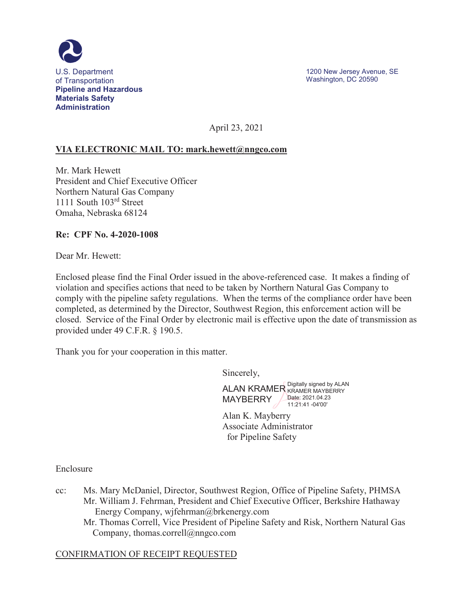

April 23, 2021

### **VIA ELECTRONIC MAIL TO: [mark.hewett@nngco.com](mailto:mark.hewett@nngco.com)**

Mr. Mark Hewett President and Chief Executive Officer Northern Natural Gas Company 1111 South 103rd Street Omaha, Nebraska 68124

#### **Re: CPF No. 4-2020-1008**

Dear Mr. Hewett:

Enclosed please find the Final Order issued in the above-referenced case. It makes a finding of violation and specifies actions that need to be taken by Northern Natural Gas Company to comply with the pipeline safety regulations. When the terms of the compliance order have been completed, as determined by the Director, Southwest Region, this enforcement action will be closed. Service of the Final Order by electronic mail is effective upon the date of transmission as provided under 49 C.F.R. § 190.5.

Thank you for your cooperation in this matter.

Sincerely,

ALAN KRAMER Digitally signed by ALAN MAYBERRY **Date: [2021.04.23](https://2021.04.23)** 11:21:41 -04'00'

Alan K. Mayberry Associate Administrator for Pipeline Safety

Enclosure

- Mr. William J. Fehrman, President and Chief Executive Officer, Berkshire Hathaway cc: Ms. Mary McDaniel, Director, Southwest Region, Office of Pipeline Safety, PHMSA Energy Company, [wjfehrman@brkenergy.com](mailto:wjfehrman@brkenergy.com) 
	- Mr. Thomas Correll, Vice President of Pipeline Safety and Risk, Northern Natural Gas Company, [thomas.correll@nngco.com](mailto:thomas.correll@nngco.com)

#### CONFIRMATION OF RECEIPT REQUESTED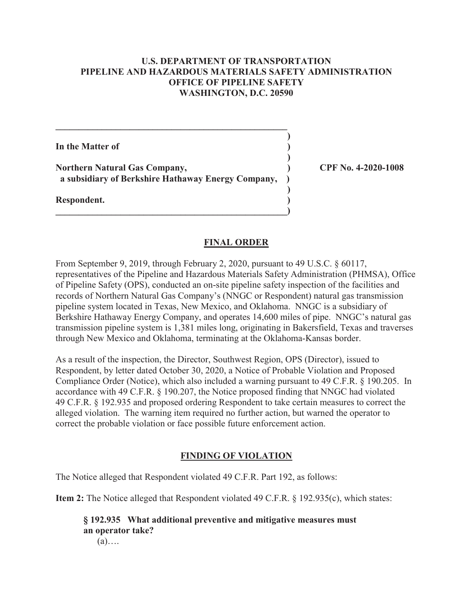### **U.S. DEPARTMENT OF TRANSPORTATION PIPELINE AND HAZARDOUS MATERIALS SAFETY ADMINISTRATION OFFICE OF PIPELINE SAFETY WASHINGTON, D.C. 20590**

**In the Matter of**  ) **) ) Northern Natural Gas Company, ) CPF No. 4-2020-1008 a subsidiary of Berkshire Hathaway Energy Company, ) ) Respondent. )** 

**\_\_\_\_\_\_\_\_\_\_\_\_\_\_\_\_\_\_\_\_\_\_\_\_\_\_\_\_\_\_\_\_\_\_\_\_\_\_\_\_\_\_\_\_\_\_\_\_\_\_)** 

 $\mathcal{L}_\mathcal{L} = \{ \mathcal{L}_\mathcal{L} = \{ \mathcal{L}_\mathcal{L} \}$ 

#### **FINAL ORDER**

From September 9, 2019, through February 2, 2020, pursuant to 49 U.S.C. § 60117, representatives of the Pipeline and Hazardous Materials Safety Administration (PHMSA), Office of Pipeline Safety (OPS), conducted an on-site pipeline safety inspection of the facilities and records of Northern Natural Gas Company's (NNGC or Respondent) natural gas transmission pipeline system located in Texas, New Mexico, and Oklahoma. NNGC is a subsidiary of Berkshire Hathaway Energy Company, and operates 14,600 miles of pipe. NNGC's natural gas transmission pipeline system is 1,381 miles long, originating in Bakersfield, Texas and traverses through New Mexico and Oklahoma, terminating at the Oklahoma-Kansas border.

As a result of the inspection, the Director, Southwest Region, OPS (Director), issued to Respondent, by letter dated October 30, 2020, a Notice of Probable Violation and Proposed Compliance Order (Notice), which also included a warning pursuant to 49 C.F.R. § 190.205. In accordance with 49 C.F.R. § 190.207, the Notice proposed finding that NNGC had violated 49 C.F.R. § 192.935 and proposed ordering Respondent to take certain measures to correct the alleged violation. The warning item required no further action, but warned the operator to correct the probable violation or face possible future enforcement action.

#### **FINDING OF VIOLATION**

The Notice alleged that Respondent violated 49 C.F.R. Part 192, as follows:

**Item 2:** The Notice alleged that Respondent violated 49 C.F.R. § 192.935(c), which states:

**§ 192.935 What additional preventive and mitigative measures must an operator take?**   $(a)$ ….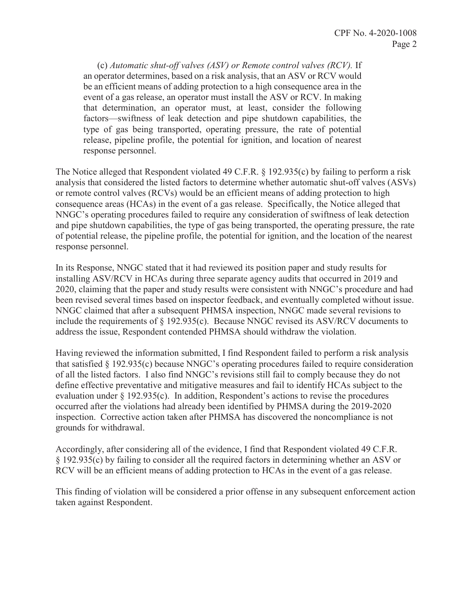(c) *Automatic shut-off valves (ASV) or Remote control valves (RCV).* If an operator determines, based on a risk analysis, that an ASV or RCV would be an efficient means of adding protection to a high consequence area in the event of a gas release, an operator must install the ASV or RCV. In making that determination, an operator must, at least, consider the following factors—swiftness of leak detection and pipe shutdown capabilities, the type of gas being transported, operating pressure, the rate of potential release, pipeline profile, the potential for ignition, and location of nearest response personnel.

 and pipe shutdown capabilities, the type of gas being transported, the operating pressure, the rate The Notice alleged that Respondent violated 49 C.F.R. § 192.935(c) by failing to perform a risk analysis that considered the listed factors to determine whether automatic shut-off valves (ASVs) or remote control valves (RCVs) would be an efficient means of adding protection to high consequence areas (HCAs) in the event of a gas release. Specifically, the Notice alleged that NNGC's operating procedures failed to require any consideration of swiftness of leak detection of potential release, the pipeline profile, the potential for ignition, and the location of the nearest response personnel.

In its Response, NNGC stated that it had reviewed its position paper and study results for installing ASV/RCV in HCAs during three separate agency audits that occurred in 2019 and 2020, claiming that the paper and study results were consistent with NNGC's procedure and had been revised several times based on inspector feedback, and eventually completed without issue. NNGC claimed that after a subsequent PHMSA inspection, NNGC made several revisions to include the requirements of § 192.935(c). Because NNGC revised its ASV/RCV documents to address the issue, Respondent contended PHMSA should withdraw the violation.

Having reviewed the information submitted, I find Respondent failed to perform a risk analysis that satisfied § 192.935(c) because NNGC's operating procedures failed to require consideration of all the listed factors. I also find NNGC's revisions still fail to comply because they do not define effective preventative and mitigative measures and fail to identify HCAs subject to the evaluation under § 192.935(c). In addition, Respondent's actions to revise the procedures occurred after the violations had already been identified by PHMSA during the 2019-2020 inspection. Corrective action taken after PHMSA has discovered the noncompliance is not grounds for withdrawal.

 RCV will be an efficient means of adding protection to HCAs in the event of a gas release. Accordingly, after considering all of the evidence, I find that Respondent violated 49 C.F.R. § 192.935(c) by failing to consider all the required factors in determining whether an ASV or

This finding of violation will be considered a prior offense in any subsequent enforcement action taken against Respondent.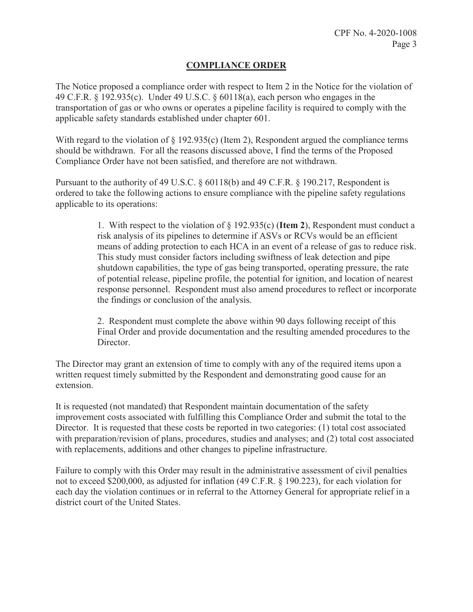# **COMPLIANCE ORDER**

 transportation of gas or who owns or operates a pipeline facility is required to comply with the The Notice proposed a compliance order with respect to Item 2 in the Notice for the violation of 49 C.F.R. § 192.935(c). Under 49 U.S.C. § 60118(a), each person who engages in the applicable safety standards established under chapter 601.

With regard to the violation of § 192.935(c) (Item 2), Respondent argued the compliance terms should be withdrawn. For all the reasons discussed above, I find the terms of the Proposed Compliance Order have not been satisfied, and therefore are not withdrawn.

Pursuant to the authority of 49 U.S.C. § 60118(b) and 49 C.F.R. § 190.217, Respondent is ordered to take the following actions to ensure compliance with the pipeline safety regulations applicable to its operations:

> means of adding protection to each HCA in an event of a release of gas to reduce risk. 1. With respect to the violation of § 192.935(c) (**Item 2**), Respondent must conduct a risk analysis of its pipelines to determine if ASVs or RCVs would be an efficient This study must consider factors including swiftness of leak detection and pipe shutdown capabilities, the type of gas being transported, operating pressure, the rate of potential release, pipeline profile, the potential for ignition, and location of nearest response personnel. Respondent must also amend procedures to reflect or incorporate the findings or conclusion of the analysis.

 2. Respondent must complete the above within 90 days following receipt of this Final Order and provide documentation and the resulting amended procedures to the Director.

The Director may grant an extension of time to comply with any of the required items upon a written request timely submitted by the Respondent and demonstrating good cause for an extension.

It is requested (not mandated) that Respondent maintain documentation of the safety improvement costs associated with fulfilling this Compliance Order and submit the total to the Director. It is requested that these costs be reported in two categories: (1) total cost associated with preparation/revision of plans, procedures, studies and analyses; and (2) total cost associated with replacements, additions and other changes to pipeline infrastructure.

Failure to comply with this Order may result in the administrative assessment of civil penalties not to exceed \$200,000, as adjusted for inflation (49 C.F.R. § 190.223), for each violation for each day the violation continues or in referral to the Attorney General for appropriate relief in a district court of the United States.